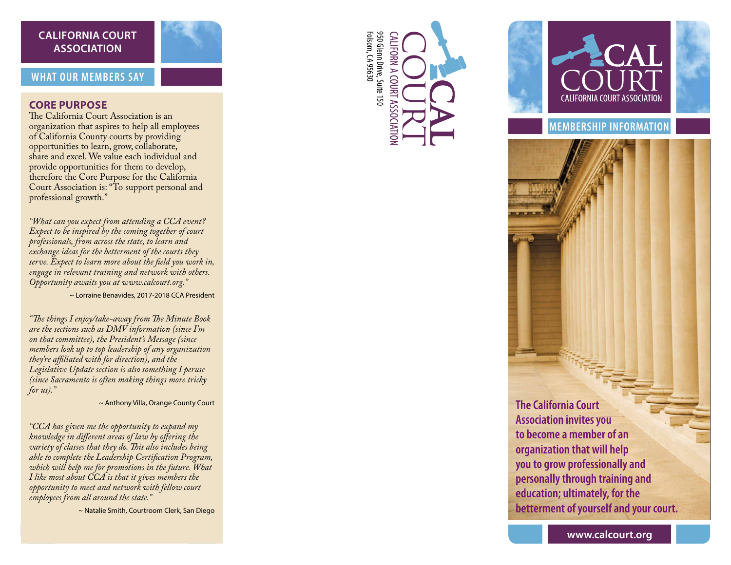## **CALIFORNIA COURT ASSOCIATION**

## **WHAT OUR MEMBERS SAY**

## **CORE PURPOSE**

The California Court Association is an organization that aspires to help all employees of California County courts by providing opportunities to learn, grow, collaborate, share and excel. We value each individual and provide opportunities for them to develop, therefore the Core Purpose for the California Court Association is: "To support personal and professional growth."

*"What can you expect from attending a CCA event? Expect to be inspired by the coming together of court professionals, from across the state, to learn and exchange ideas for the betterment of the courts they serve. Expect to learn more about the field you work in, engage in relevant training and network with others. Opportunity awaits you at www.calcourt.org."*

~ Lorraine Benavides, 2017-2018 CCA President

*"The things I enjoy/take-away from The Minute Book are the sections such as DMV information (since I'm on that committee), the President's Message (since members look up to top leadership of any organization they're affiliated with for direction), and the Legislative Update section is also something I peruse (since Sacramento is often making things more tricky for us)."*

~ Anthony Villa, Orange County Court

*"CCA has given me the opportunity to expand my knowledge in different areas of law by offering the variety of classes that they do. This also includes being able to complete the Leadership Certification Program, which will help me for promotions in the future. What I like most about CCA is that it gives members the opportunity to meet and network with fellow court employees from all around the state."*

~ Natalie Smith, Courtroom Clerk, San Diego





**MEMBERSHIP INFORMATION**

**The California Court Association invites you to become a member of an organization that will help you to grow professionally and personally through training and education; ultimately, for the betterment of yourself and your court.**

**www.calcourt.org**